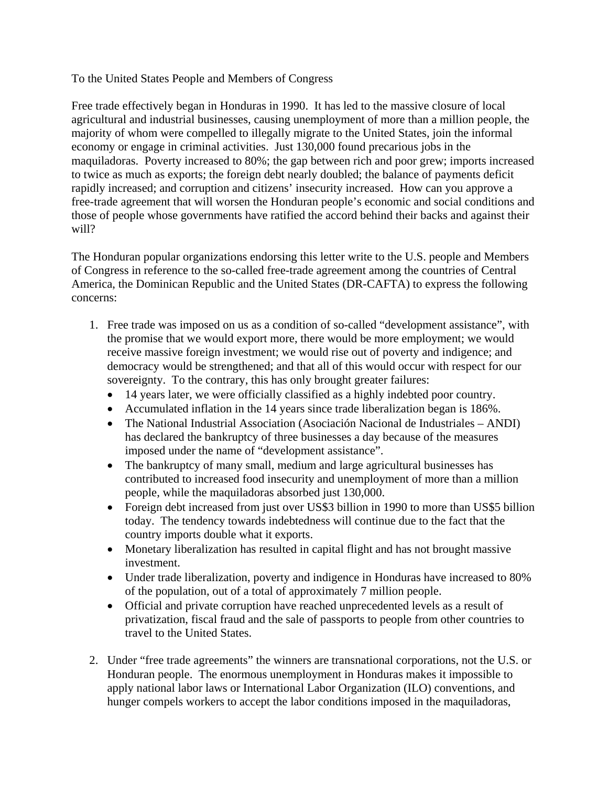## To the United States People and Members of Congress

Free trade effectively began in Honduras in 1990. It has led to the massive closure of local agricultural and industrial businesses, causing unemployment of more than a million people, the majority of whom were compelled to illegally migrate to the United States, join the informal economy or engage in criminal activities. Just 130,000 found precarious jobs in the maquiladoras. Poverty increased to 80%; the gap between rich and poor grew; imports increased to twice as much as exports; the foreign debt nearly doubled; the balance of payments deficit rapidly increased; and corruption and citizens' insecurity increased. How can you approve a free-trade agreement that will worsen the Honduran people's economic and social conditions and those of people whose governments have ratified the accord behind their backs and against their will?

The Honduran popular organizations endorsing this letter write to the U.S. people and Members of Congress in reference to the so-called free-trade agreement among the countries of Central America, the Dominican Republic and the United States (DR-CAFTA) to express the following concerns:

- 1. Free trade was imposed on us as a condition of so-called "development assistance", with the promise that we would export more, there would be more employment; we would receive massive foreign investment; we would rise out of poverty and indigence; and democracy would be strengthened; and that all of this would occur with respect for our sovereignty. To the contrary, this has only brought greater failures:
	- 14 years later, we were officially classified as a highly indebted poor country.
	- Accumulated inflation in the 14 years since trade liberalization began is 186%.
	- The National Industrial Association (Asociación Nacional de Industriales ANDI) has declared the bankruptcy of three businesses a day because of the measures imposed under the name of "development assistance".
	- The bankruptcy of many small, medium and large agricultural businesses has contributed to increased food insecurity and unemployment of more than a million people, while the maquiladoras absorbed just 130,000.
	- Foreign debt increased from just over US\$3 billion in 1990 to more than US\$5 billion today. The tendency towards indebtedness will continue due to the fact that the country imports double what it exports.
	- Monetary liberalization has resulted in capital flight and has not brought massive investment.
	- Under trade liberalization, poverty and indigence in Honduras have increased to 80% of the population, out of a total of approximately 7 million people.
	- Official and private corruption have reached unprecedented levels as a result of privatization, fiscal fraud and the sale of passports to people from other countries to travel to the United States.
- 2. Under "free trade agreements" the winners are transnational corporations, not the U.S. or Honduran people. The enormous unemployment in Honduras makes it impossible to apply national labor laws or International Labor Organization (ILO) conventions, and hunger compels workers to accept the labor conditions imposed in the maquiladoras,